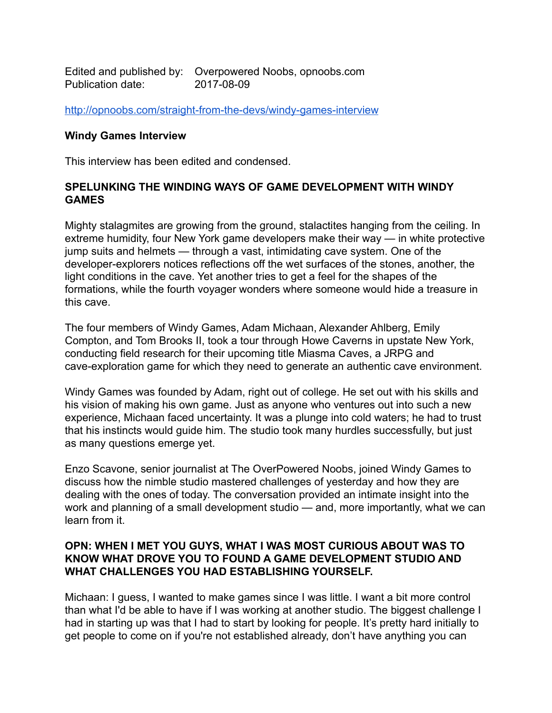Edited and published by: Overpowered Noobs, opnoobs.com Publication date: 2017-08-09

<http://opnoobs.com/straight-from-the-devs/windy-games-interview>

#### **Windy Games Interview**

This interview has been edited and condensed.

#### **SPELUNKING THE WINDING WAYS OF GAME DEVELOPMENT WITH WINDY GAMES**

Mighty stalagmites are growing from the ground, stalactites hanging from the ceiling. In extreme humidity, four New York game developers make their way — in white protective jump suits and helmets — through a vast, intimidating cave system. One of the developer-explorers notices reflections off the wet surfaces of the stones, another, the light conditions in the cave. Yet another tries to get a feel for the shapes of the formations, while the fourth voyager wonders where someone would hide a treasure in this cave.

The four members of Windy Games, Adam Michaan, Alexander Ahlberg, Emily Compton, and Tom Brooks II, took a tour through Howe Caverns in upstate New York, conducting field research for their upcoming title Miasma Caves, a JRPG and cave-exploration game for which they need to generate an authentic cave environment.

Windy Games was founded by Adam, right out of college. He set out with his skills and his vision of making his own game. Just as anyone who ventures out into such a new experience, Michaan faced uncertainty. It was a plunge into cold waters; he had to trust that his instincts would guide him. The studio took many hurdles successfully, but just as many questions emerge yet.

Enzo Scavone, senior journalist at The OverPowered Noobs, joined Windy Games to discuss how the nimble studio mastered challenges of yesterday and how they are dealing with the ones of today. The conversation provided an intimate insight into the work and planning of a small development studio — and, more importantly, what we can learn from it.

#### **OPN: WHEN I MET YOU GUYS, WHAT I WAS MOST CURIOUS ABOUT WAS TO KNOW WHAT DROVE YOU TO FOUND A GAME DEVELOPMENT STUDIO AND WHAT CHALLENGES YOU HAD ESTABLISHING YOURSELF.**

Michaan: I guess, I wanted to make games since I was little. I want a bit more control than what I'd be able to have if I was working at another studio. The biggest challenge I had in starting up was that I had to start by looking for people. It's pretty hard initially to get people to come on if you're not established already, don't have anything you can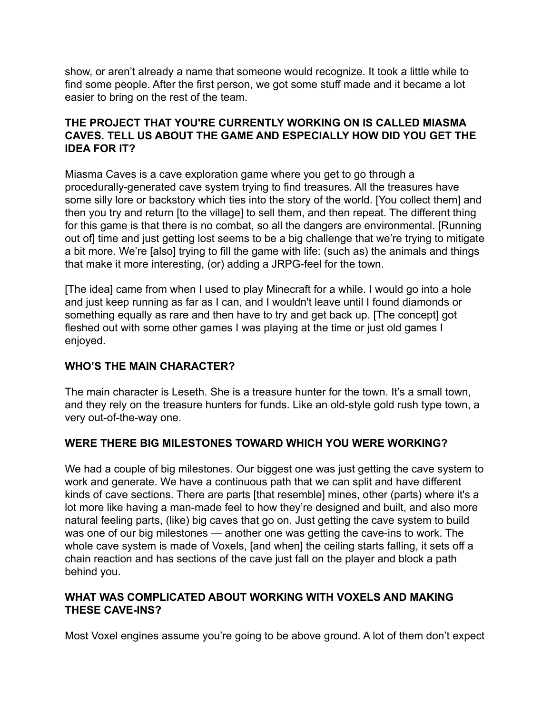show, or aren't already a name that someone would recognize. It took a little while to find some people. After the first person, we got some stuff made and it became a lot easier to bring on the rest of the team.

## **THE PROJECT THAT YOU'RE CURRENTLY WORKING ON IS CALLED MIASMA CAVES. TELL US ABOUT THE GAME AND ESPECIALLY HOW DID YOU GET THE IDEA FOR IT?**

Miasma Caves is a cave exploration game where you get to go through a procedurally-generated cave system trying to find treasures. All the treasures have some silly lore or backstory which ties into the story of the world. [You collect them] and then you try and return [to the village] to sell them, and then repeat. The different thing for this game is that there is no combat, so all the dangers are environmental. [Running out of] time and just getting lost seems to be a big challenge that we're trying to mitigate a bit more. We're [also] trying to fill the game with life: (such as) the animals and things that make it more interesting, (or) adding a JRPG-feel for the town.

[The idea] came from when I used to play Minecraft for a while. I would go into a hole and just keep running as far as I can, and I wouldn't leave until I found diamonds or something equally as rare and then have to try and get back up. [The concept] got fleshed out with some other games I was playing at the time or just old games I enjoyed.

## **WHO'S THE MAIN CHARACTER?**

The main character is Leseth. She is a treasure hunter for the town. It's a small town, and they rely on the treasure hunters for funds. Like an old-style gold rush type town, a very out-of-the-way one.

# **WERE THERE BIG MILESTONES TOWARD WHICH YOU WERE WORKING?**

We had a couple of big milestones. Our biggest one was just getting the cave system to work and generate. We have a continuous path that we can split and have different kinds of cave sections. There are parts [that resemble] mines, other (parts) where it's a lot more like having a man-made feel to how they're designed and built, and also more natural feeling parts, (like) big caves that go on. Just getting the cave system to build was one of our big milestones — another one was getting the cave-ins to work. The whole cave system is made of Voxels, [and when] the ceiling starts falling, it sets off a chain reaction and has sections of the cave just fall on the player and block a path behind you.

## **WHAT WAS COMPLICATED ABOUT WORKING WITH VOXELS AND MAKING THESE CAVE-INS?**

Most Voxel engines assume you're going to be above ground. A lot of them don't expect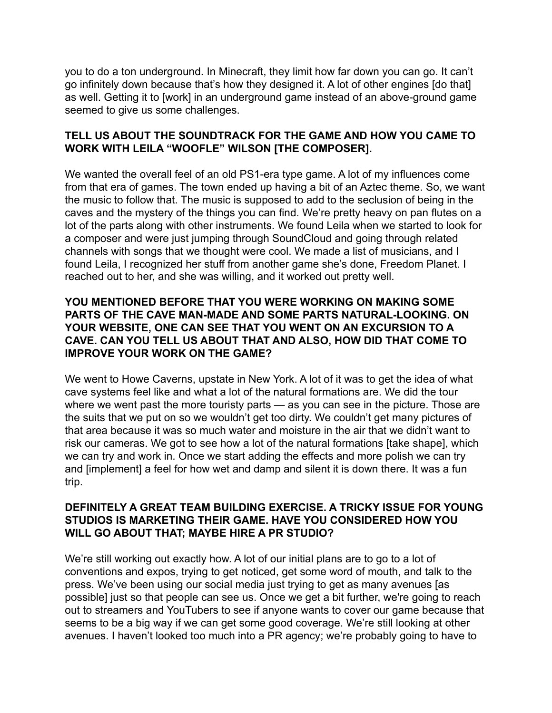you to do a ton underground. In Minecraft, they limit how far down you can go. It can't go infinitely down because that's how they designed it. A lot of other engines [do that] as well. Getting it to [work] in an underground game instead of an above-ground game seemed to give us some challenges.

## **TELL US ABOUT THE SOUNDTRACK FOR THE GAME AND HOW YOU CAME TO WORK WITH LEILA "WOOFLE" WILSON [THE COMPOSER].**

We wanted the overall feel of an old PS1-era type game. A lot of my influences come from that era of games. The town ended up having a bit of an Aztec theme. So, we want the music to follow that. The music is supposed to add to the seclusion of being in the caves and the mystery of the things you can find. We're pretty heavy on pan flutes on a lot of the parts along with other instruments. We found Leila when we started to look for a composer and were just jumping through SoundCloud and going through related channels with songs that we thought were cool. We made a list of musicians, and I found Leila, I recognized her stuff from another game she's done, Freedom Planet. I reached out to her, and she was willing, and it worked out pretty well.

## **YOU MENTIONED BEFORE THAT YOU WERE WORKING ON MAKING SOME PARTS OF THE CAVE MAN-MADE AND SOME PARTS NATURAL-LOOKING. ON YOUR WEBSITE, ONE CAN SEE THAT YOU WENT ON AN EXCURSION TO A CAVE. CAN YOU TELL US ABOUT THAT AND ALSO, HOW DID THAT COME TO IMPROVE YOUR WORK ON THE GAME?**

We went to Howe Caverns, upstate in New York. A lot of it was to get the idea of what cave systems feel like and what a lot of the natural formations are. We did the tour where we went past the more touristy parts — as you can see in the picture. Those are the suits that we put on so we wouldn't get too dirty. We couldn't get many pictures of that area because it was so much water and moisture in the air that we didn't want to risk our cameras. We got to see how a lot of the natural formations [take shape], which we can try and work in. Once we start adding the effects and more polish we can try and [implement] a feel for how wet and damp and silent it is down there. It was a fun trip.

#### **DEFINITELY A GREAT TEAM BUILDING EXERCISE. A TRICKY ISSUE FOR YOUNG STUDIOS IS MARKETING THEIR GAME. HAVE YOU CONSIDERED HOW YOU WILL GO ABOUT THAT; MAYBE HIRE A PR STUDIO?**

We're still working out exactly how. A lot of our initial plans are to go to a lot of conventions and expos, trying to get noticed, get some word of mouth, and talk to the press. We've been using our social media just trying to get as many avenues [as possible] just so that people can see us. Once we get a bit further, we're going to reach out to streamers and YouTubers to see if anyone wants to cover our game because that seems to be a big way if we can get some good coverage. We're still looking at other avenues. I haven't looked too much into a PR agency; we're probably going to have to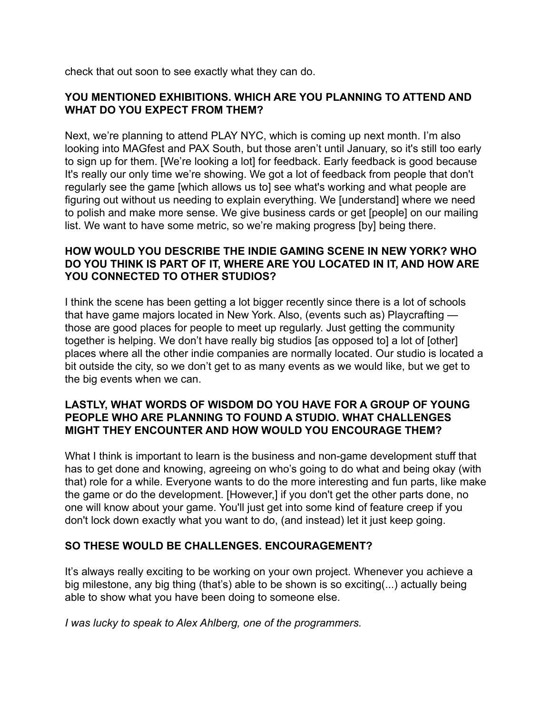check that out soon to see exactly what they can do.

## **YOU MENTIONED EXHIBITIONS. WHICH ARE YOU PLANNING TO ATTEND AND WHAT DO YOU EXPECT FROM THEM?**

Next, we're planning to attend PLAY NYC, which is coming up next month. I'm also looking into MAGfest and PAX South, but those aren't until January, so it's still too early to sign up for them. [We're looking a lot] for feedback. Early feedback is good because It's really our only time we're showing. We got a lot of feedback from people that don't regularly see the game [which allows us to] see what's working and what people are figuring out without us needing to explain everything. We [understand] where we need to polish and make more sense. We give business cards or get [people] on our mailing list. We want to have some metric, so we're making progress [by] being there.

## **HOW WOULD YOU DESCRIBE THE INDIE GAMING SCENE IN NEW YORK? WHO DO YOU THINK IS PART OF IT, WHERE ARE YOU LOCATED IN IT, AND HOW ARE YOU CONNECTED TO OTHER STUDIOS?**

I think the scene has been getting a lot bigger recently since there is a lot of schools that have game majors located in New York. Also, (events such as) Playcrafting those are good places for people to meet up regularly. Just getting the community together is helping. We don't have really big studios [as opposed to] a lot of [other] places where all the other indie companies are normally located. Our studio is located a bit outside the city, so we don't get to as many events as we would like, but we get to the big events when we can.

## **LASTLY, WHAT WORDS OF WISDOM DO YOU HAVE FOR A GROUP OF YOUNG PEOPLE WHO ARE PLANNING TO FOUND A STUDIO. WHAT CHALLENGES MIGHT THEY ENCOUNTER AND HOW WOULD YOU ENCOURAGE THEM?**

What I think is important to learn is the business and non-game development stuff that has to get done and knowing, agreeing on who's going to do what and being okay (with that) role for a while. Everyone wants to do the more interesting and fun parts, like make the game or do the development. [However,] if you don't get the other parts done, no one will know about your game. You'll just get into some kind of feature creep if you don't lock down exactly what you want to do, (and instead) let it just keep going.

## **SO THESE WOULD BE CHALLENGES. ENCOURAGEMENT?**

It's always really exciting to be working on your own project. Whenever you achieve a big milestone, any big thing (that's) able to be shown is so exciting(...) actually being able to show what you have been doing to someone else.

*I was lucky to speak to Alex Ahlberg, one of the programmers.*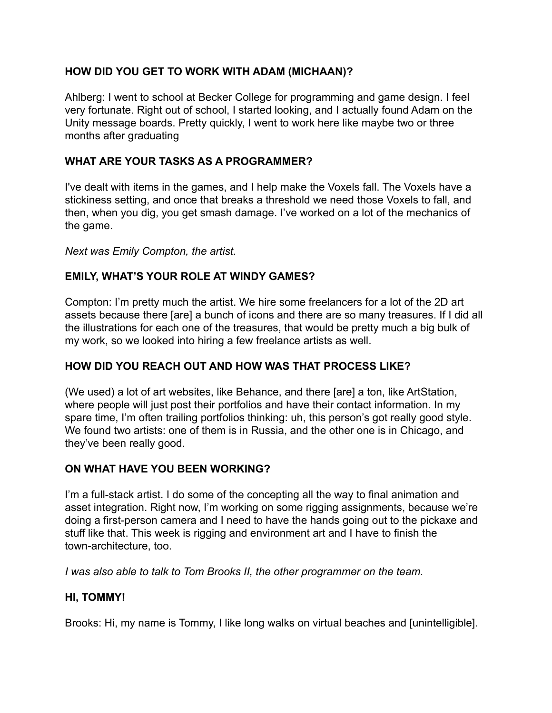# **HOW DID YOU GET TO WORK WITH ADAM (MICHAAN)?**

Ahlberg: I went to school at Becker College for programming and game design. I feel very fortunate. Right out of school, I started looking, and I actually found Adam on the Unity message boards. Pretty quickly, I went to work here like maybe two or three months after graduating

# **WHAT ARE YOUR TASKS AS A PROGRAMMER?**

I've dealt with items in the games, and I help make the Voxels fall. The Voxels have a stickiness setting, and once that breaks a threshold we need those Voxels to fall, and then, when you dig, you get smash damage. I've worked on a lot of the mechanics of the game.

## *Next was Emily Compton, the artist.*

# **EMILY, WHAT'S YOUR ROLE AT WINDY GAMES?**

Compton: I'm pretty much the artist. We hire some freelancers for a lot of the 2D art assets because there [are] a bunch of icons and there are so many treasures. If I did all the illustrations for each one of the treasures, that would be pretty much a big bulk of my work, so we looked into hiring a few freelance artists as well.

# **HOW DID YOU REACH OUT AND HOW WAS THAT PROCESS LIKE?**

(We used) a lot of art websites, like Behance, and there [are] a ton, like ArtStation, where people will just post their portfolios and have their contact information. In my spare time, I'm often trailing portfolios thinking: uh, this person's got really good style. We found two artists: one of them is in Russia, and the other one is in Chicago, and they've been really good.

## **ON WHAT HAVE YOU BEEN WORKING?**

I'm a full-stack artist. I do some of the concepting all the way to final animation and asset integration. Right now, I'm working on some rigging assignments, because we're doing a first-person camera and I need to have the hands going out to the pickaxe and stuff like that. This week is rigging and environment art and I have to finish the town-architecture, too.

*I was also able to talk to Tom Brooks II, the other programmer on the team.*

## **HI, TOMMY!**

Brooks: Hi, my name is Tommy, I like long walks on virtual beaches and [unintelligible].